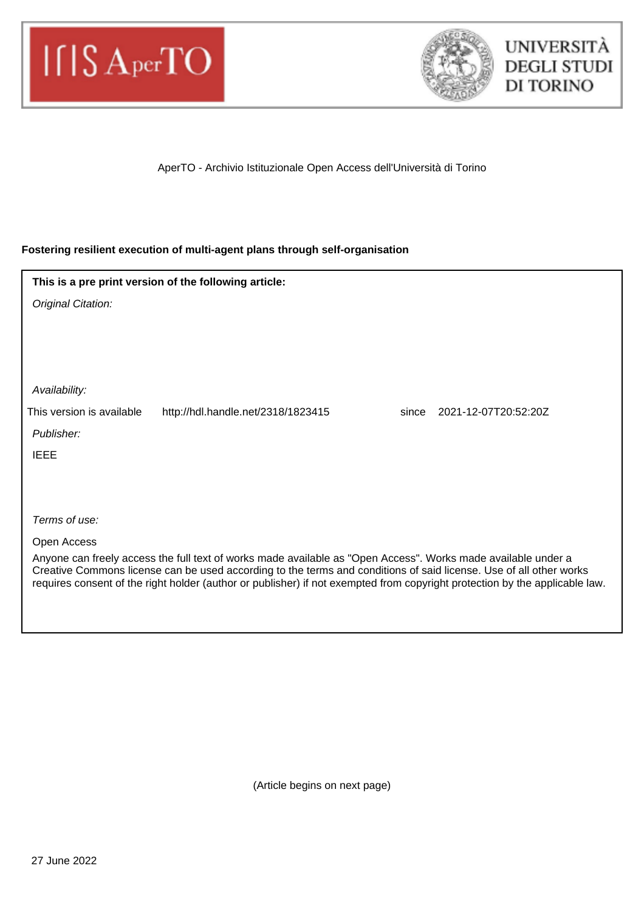



AperTO - Archivio Istituzionale Open Access dell'Università di Torino

## **Fostering resilient execution of multi-agent plans through self-organisation**

| This is a pre print version of the following article:                                                                                                                                                                               |  |
|-------------------------------------------------------------------------------------------------------------------------------------------------------------------------------------------------------------------------------------|--|
| Original Citation:                                                                                                                                                                                                                  |  |
|                                                                                                                                                                                                                                     |  |
|                                                                                                                                                                                                                                     |  |
|                                                                                                                                                                                                                                     |  |
| Availability:                                                                                                                                                                                                                       |  |
| This version is available<br>2021-12-07T20:52:20Z<br>http://hdl.handle.net/2318/1823415<br>since                                                                                                                                    |  |
| Publisher:                                                                                                                                                                                                                          |  |
| <b>IEEE</b>                                                                                                                                                                                                                         |  |
|                                                                                                                                                                                                                                     |  |
|                                                                                                                                                                                                                                     |  |
| Terms of use:                                                                                                                                                                                                                       |  |
| Open Access                                                                                                                                                                                                                         |  |
| Anyone can freely access the full text of works made available as "Open Access". Works made available under a<br>Creative Commons license can be used according to the terms and conditions of said license. Use of all other works |  |
| requires consent of the right holder (author or publisher) if not exempted from copyright protection by the applicable law.                                                                                                         |  |
|                                                                                                                                                                                                                                     |  |

(Article begins on next page)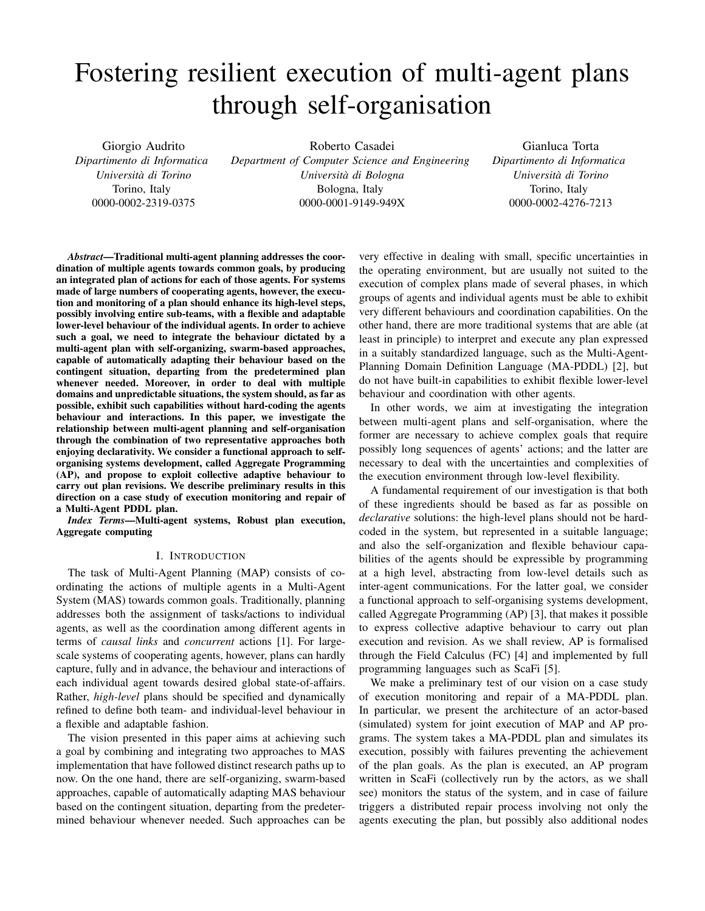# Fostering resilient execution of multi-agent plans through self-organisation

Giorgio Audrito *Dipartimento di Informatica Universita di Torino `* Torino, Italy 0000-0002-2319-0375

Roberto Casadei

*Department of Computer Science and Engineering Universita di Bologna `* Bologna, Italy 0000-0001-9149-949X

Gianluca Torta *Dipartimento di Informatica Universita di Torino `* Torino, Italy 0000-0002-4276-7213

*Abstract*—Traditional multi-agent planning addresses the coordination of multiple agents towards common goals, by producing an integrated plan of actions for each of those agents. For systems made of large numbers of cooperating agents, however, the execution and monitoring of a plan should enhance its high-level steps, possibly involving entire sub-teams, with a flexible and adaptable lower-level behaviour of the individual agents. In order to achieve such a goal, we need to integrate the behaviour dictated by a multi-agent plan with self-organizing, swarm-based approaches, capable of automatically adapting their behaviour based on the contingent situation, departing from the predetermined plan whenever needed. Moreover, in order to deal with multiple domains and unpredictable situations, the system should, as far as possible, exhibit such capabilities without hard-coding the agents behaviour and interactions. In this paper, we investigate the relationship between multi-agent planning and self-organisation through the combination of two representative approaches both enjoying declarativity. We consider a functional approach to selforganising systems development, called Aggregate Programming (AP), and propose to exploit collective adaptive behaviour to carry out plan revisions. We describe preliminary results in this direction on a case study of execution monitoring and repair of a Multi-Agent PDDL plan.

*Index Terms*—Multi-agent systems, Robust plan execution, Aggregate computing

### I. INTRODUCTION

The task of Multi-Agent Planning (MAP) consists of coordinating the actions of multiple agents in a Multi-Agent System (MAS) towards common goals. Traditionally, planning addresses both the assignment of tasks/actions to individual agents, as well as the coordination among different agents in terms of *causal links* and *concurrent* actions [1]. For largescale systems of cooperating agents, however, plans can hardly capture, fully and in advance, the behaviour and interactions of each individual agent towards desired global state-of-affairs. Rather, *high-level* plans should be specified and dynamically refined to define both team- and individual-level behaviour in a flexible and adaptable fashion.

The vision presented in this paper aims at achieving such a goal by combining and integrating two approaches to MAS implementation that have followed distinct research paths up to now. On the one hand, there are self-organizing, swarm-based approaches, capable of automatically adapting MAS behaviour based on the contingent situation, departing from the predetermined behaviour whenever needed. Such approaches can be

very effective in dealing with small, specific uncertainties in the operating environment, but are usually not suited to the execution of complex plans made of several phases, in which groups of agents and individual agents must be able to exhibit very different behaviours and coordination capabilities. On the other hand, there are more traditional systems that are able (at least in principle) to interpret and execute any plan expressed in a suitably standardized language, such as the Multi-Agent-Planning Domain Definition Language (MA-PDDL) [2], but do not have built-in capabilities to exhibit flexible lower-level behaviour and coordination with other agents.

In other words, we aim at investigating the integration between multi-agent plans and self-organisation, where the former are necessary to achieve complex goals that require possibly long sequences of agents' actions; and the latter are necessary to deal with the uncertainties and complexities of the execution environment through low-level flexibility.

A fundamental requirement of our investigation is that both of these ingredients should be based as far as possible on *declarative* solutions: the high-level plans should not be hardcoded in the system, but represented in a suitable language; and also the self-organization and flexible behaviour capabilities of the agents should be expressible by programming at a high level, abstracting from low-level details such as inter-agent communications. For the latter goal, we consider a functional approach to self-organising systems development, called Aggregate Programming (AP) [3], that makes it possible to express collective adaptive behaviour to carry out plan execution and revision. As we shall review, AP is formalised through the Field Calculus (FC) [4] and implemented by full programming languages such as ScaFi [5].

We make a preliminary test of our vision on a case study of execution monitoring and repair of a MA-PDDL plan. In particular, we present the architecture of an actor-based (simulated) system for joint execution of MAP and AP programs. The system takes a MA-PDDL plan and simulates its execution, possibly with failures preventing the achievement of the plan goals. As the plan is executed, an AP program written in ScaFi (collectively run by the actors, as we shall see) monitors the status of the system, and in case of failure triggers a distributed repair process involving not only the agents executing the plan, but possibly also additional nodes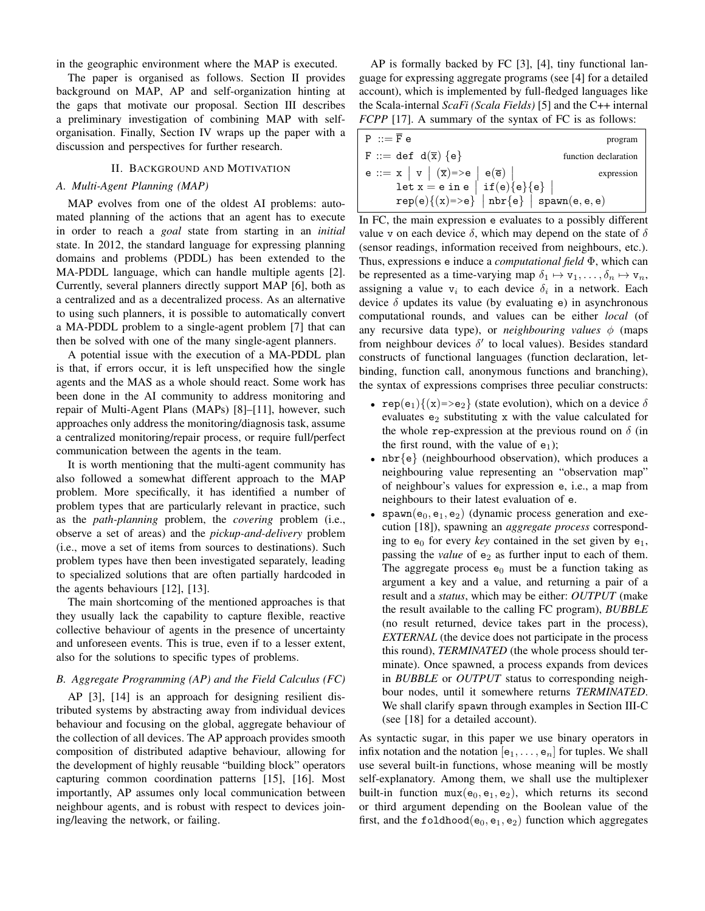in the geographic environment where the MAP is executed.

The paper is organised as follows. Section II provides background on MAP, AP and self-organization hinting at the gaps that motivate our proposal. Section III describes a preliminary investigation of combining MAP with selforganisation. Finally, Section IV wraps up the paper with a discussion and perspectives for further research.

#### II. BACKGROUND AND MOTIVATION

#### *A. Multi-Agent Planning (MAP)*

MAP evolves from one of the oldest AI problems: automated planning of the actions that an agent has to execute in order to reach a *goal* state from starting in an *initial* state. In 2012, the standard language for expressing planning domains and problems (PDDL) has been extended to the MA-PDDL language, which can handle multiple agents [2]. Currently, several planners directly support MAP [6], both as a centralized and as a decentralized process. As an alternative to using such planners, it is possible to automatically convert a MA-PDDL problem to a single-agent problem [7] that can then be solved with one of the many single-agent planners.

A potential issue with the execution of a MA-PDDL plan is that, if errors occur, it is left unspecified how the single agents and the MAS as a whole should react. Some work has been done in the AI community to address monitoring and repair of Multi-Agent Plans (MAPs) [8]–[11], however, such approaches only address the monitoring/diagnosis task, assume a centralized monitoring/repair process, or require full/perfect communication between the agents in the team.

It is worth mentioning that the multi-agent community has also followed a somewhat different approach to the MAP problem. More specifically, it has identified a number of problem types that are particularly relevant in practice, such as the *path-planning* problem, the *covering* problem (i.e., observe a set of areas) and the *pickup-and-delivery* problem (i.e., move a set of items from sources to destinations). Such problem types have then been investigated separately, leading to specialized solutions that are often partially hardcoded in the agents behaviours [12], [13].

The main shortcoming of the mentioned approaches is that they usually lack the capability to capture flexible, reactive collective behaviour of agents in the presence of uncertainty and unforeseen events. This is true, even if to a lesser extent, also for the solutions to specific types of problems.

#### *B. Aggregate Programming (AP) and the Field Calculus (FC)*

AP [3], [14] is an approach for designing resilient distributed systems by abstracting away from individual devices behaviour and focusing on the global, aggregate behaviour of the collection of all devices. The AP approach provides smooth composition of distributed adaptive behaviour, allowing for the development of highly reusable "building block" operators capturing common coordination patterns [15], [16]. Most importantly, AP assumes only local communication between neighbour agents, and is robust with respect to devices joining/leaving the network, or failing.

AP is formally backed by FC [3], [4], tiny functional language for expressing aggregate programs (see [4] for a detailed account), which is implemented by full-fledged languages like the Scala-internal *ScaFi (Scala Fields)* [5] and the C++ internal *FCPP* [17]. A summary of the syntax of FC is as follows:

| $P ::= F e$                                               | program    |
|-----------------------------------------------------------|------------|
| F ::= def $d(\overline{x}) \{e\}$<br>function declaration |            |
| $e ::= x   v   (\overline{x}) = > e   e(\overline{e})$    | expression |
| let $x = e$ in $e \mid if(e){e}{e}$                       |            |
| $rep(e){x)=>e}$   nbr{e}   spawn(e, e, e)                 |            |

In FC, the main expression e evaluates to a possibly different value v on each device  $\delta$ , which may depend on the state of  $\delta$ (sensor readings, information received from neighbours, etc.). Thus, expressions e induce a *computational field* Φ, which can be represented as a time-varying map  $\delta_1 \mapsto v_1, \ldots, \delta_n \mapsto v_n$ , assigning a value  $v_i$  to each device  $\delta_i$  in a network. Each device  $\delta$  updates its value (by evaluating e) in asynchronous computational rounds, and values can be either *local* (of any recursive data type), or *neighbouring values*  $\phi$  (maps from neighbour devices  $\delta'$  to local values). Besides standard constructs of functional languages (function declaration, letbinding, function call, anonymous functions and branching), the syntax of expressions comprises three peculiar constructs:

- rep(e<sub>1</sub>) $\{(x)=e_2\}$  (state evolution), which on a device  $\delta$ evaluates  $e_2$  substituting x with the value calculated for the whole rep-expression at the previous round on  $\delta$  (in the first round, with the value of  $e_1$ );
- nbr $\{e\}$  (neighbourhood observation), which produces a neighbouring value representing an "observation map" of neighbour's values for expression e, i.e., a map from neighbours to their latest evaluation of e.
- spawn( $e_0, e_1, e_2$ ) (dynamic process generation and execution [18]), spawning an *aggregate process* corresponding to  $e_0$  for every *key* contained in the set given by  $e_1$ , passing the *value* of  $e_2$  as further input to each of them. The aggregate process  $e_0$  must be a function taking as argument a key and a value, and returning a pair of a result and a *status*, which may be either: *OUTPUT* (make the result available to the calling FC program), *BUBBLE* (no result returned, device takes part in the process), *EXTERNAL* (the device does not participate in the process this round), *TERMINATED* (the whole process should terminate). Once spawned, a process expands from devices in *BUBBLE* or *OUTPUT* status to corresponding neighbour nodes, until it somewhere returns *TERMINATED*. We shall clarify spawn through examples in Section III-C (see [18] for a detailed account).

As syntactic sugar, in this paper we use binary operators in infix notation and the notation  $[e_1, \ldots, e_n]$  for tuples. We shall use several built-in functions, whose meaning will be mostly self-explanatory. Among them, we shall use the multiplexer built-in function  $\max(e_0, e_1, e_2)$ , which returns its second or third argument depending on the Boolean value of the first, and the foldhood( $e_0$ ,  $e_1$ ,  $e_2$ ) function which aggregates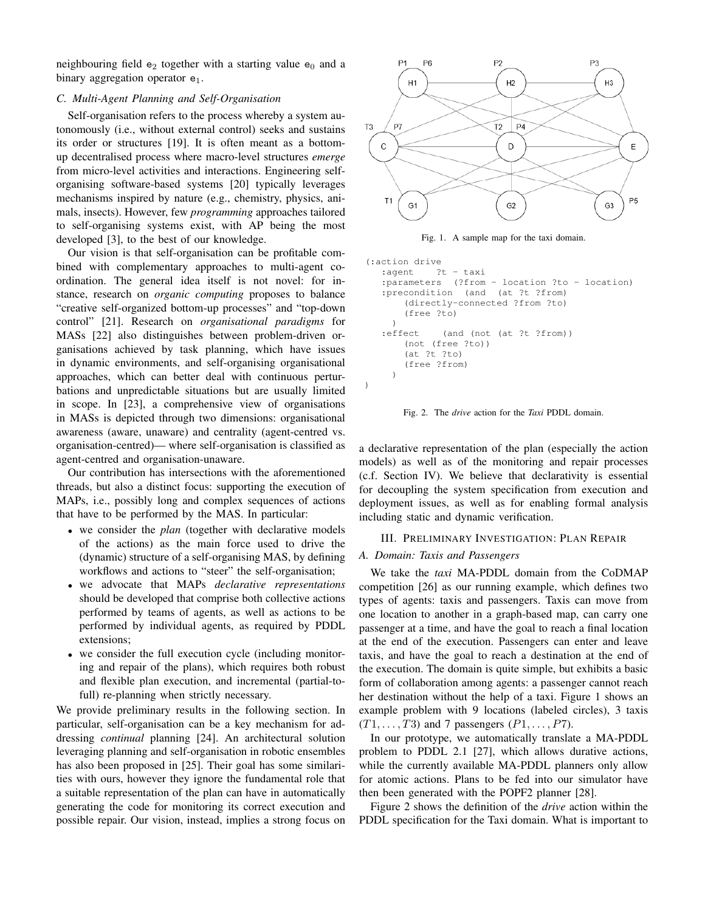neighbouring field  $e_2$  together with a starting value  $e_0$  and a binary aggregation operator  $e_1$ .

## *C. Multi-Agent Planning and Self-Organisation*

Self-organisation refers to the process whereby a system autonomously (i.e., without external control) seeks and sustains its order or structures [19]. It is often meant as a bottomup decentralised process where macro-level structures *emerge* from micro-level activities and interactions. Engineering selforganising software-based systems [20] typically leverages mechanisms inspired by nature (e.g., chemistry, physics, animals, insects). However, few *programming* approaches tailored to self-organising systems exist, with AP being the most developed [3], to the best of our knowledge.

Our vision is that self-organisation can be profitable combined with complementary approaches to multi-agent coordination. The general idea itself is not novel: for instance, research on *organic computing* proposes to balance "creative self-organized bottom-up processes" and "top-down control" [21]. Research on *organisational paradigms* for MASs [22] also distinguishes between problem-driven organisations achieved by task planning, which have issues in dynamic environments, and self-organising organisational approaches, which can better deal with continuous perturbations and unpredictable situations but are usually limited in scope. In [23], a comprehensive view of organisations in MASs is depicted through two dimensions: organisational awareness (aware, unaware) and centrality (agent-centred vs. organisation-centred)— where self-organisation is classified as agent-centred and organisation-unaware.

Our contribution has intersections with the aforementioned threads, but also a distinct focus: supporting the execution of MAPs, i.e., possibly long and complex sequences of actions that have to be performed by the MAS. In particular:

- we consider the *plan* (together with declarative models of the actions) as the main force used to drive the (dynamic) structure of a self-organising MAS, by defining workflows and actions to "steer" the self-organisation;
- we advocate that MAPs *declarative representations* should be developed that comprise both collective actions performed by teams of agents, as well as actions to be performed by individual agents, as required by PDDL extensions;
- we consider the full execution cycle (including monitoring and repair of the plans), which requires both robust and flexible plan execution, and incremental (partial-tofull) re-planning when strictly necessary.

We provide preliminary results in the following section. In particular, self-organisation can be a key mechanism for addressing *continual* planning [24]. An architectural solution leveraging planning and self-organisation in robotic ensembles has also been proposed in [25]. Their goal has some similarities with ours, however they ignore the fundamental role that a suitable representation of the plan can have in automatically generating the code for monitoring its correct execution and possible repair. Our vision, instead, implies a strong focus on



Fig. 1. A sample map for the taxi domain.

```
(:action drive
   :agent ?t - taxi
   :parameters (?from - location ?to - location)
   :precondition (and (at ?t ?from)
       (directly-connected ?from ?to)
       (free ?to)
     )
   :effect (and (not (at ?t ?from))
       (not (free ?to))
       (at ?t ?to)
       (free ?from)
    )
)
```
Fig. 2. The *drive* action for the *Taxi* PDDL domain.

a declarative representation of the plan (especially the action models) as well as of the monitoring and repair processes (c.f. Section IV). We believe that declarativity is essential for decoupling the system specification from execution and deployment issues, as well as for enabling formal analysis including static and dynamic verification.

## III. PRELIMINARY INVESTIGATION: PLAN REPAIR

## *A. Domain: Taxis and Passengers*

We take the *taxi* MA-PDDL domain from the CoDMAP competition [26] as our running example, which defines two types of agents: taxis and passengers. Taxis can move from one location to another in a graph-based map, can carry one passenger at a time, and have the goal to reach a final location at the end of the execution. Passengers can enter and leave taxis, and have the goal to reach a destination at the end of the execution. The domain is quite simple, but exhibits a basic form of collaboration among agents: a passenger cannot reach her destination without the help of a taxi. Figure 1 shows an example problem with 9 locations (labeled circles), 3 taxis  $(T1, \ldots, T3)$  and 7 passengers  $(P1, \ldots, P7)$ .

In our prototype, we automatically translate a MA-PDDL problem to PDDL 2.1 [27], which allows durative actions, while the currently available MA-PDDL planners only allow for atomic actions. Plans to be fed into our simulator have then been generated with the POPF2 planner [28].

Figure 2 shows the definition of the *drive* action within the PDDL specification for the Taxi domain. What is important to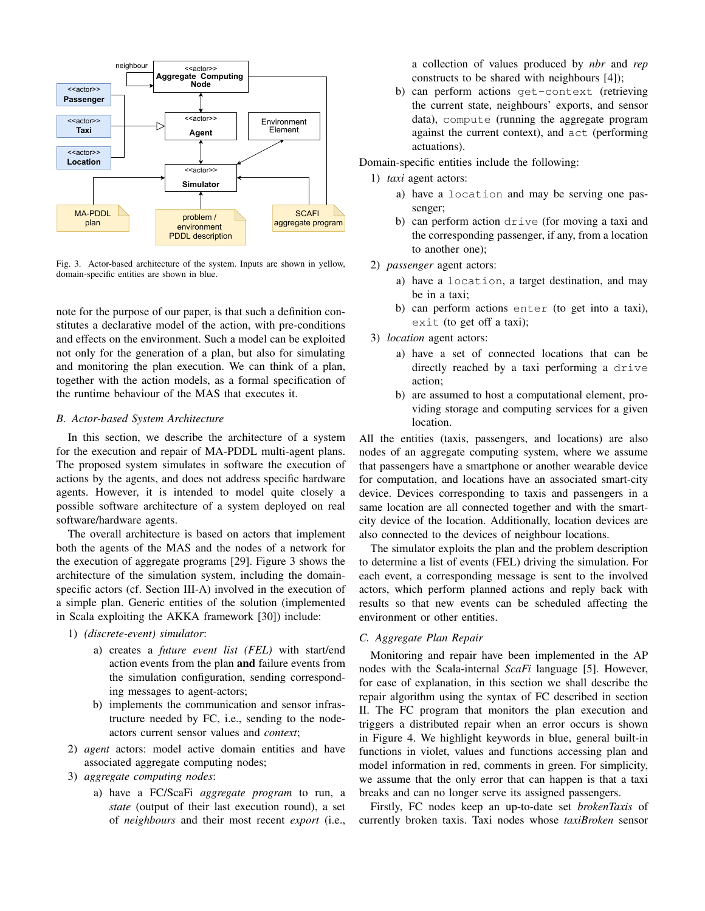

Fig. 3. Actor-based architecture of the system. Inputs are shown in yellow, domain-specific entities are shown in blue.

note for the purpose of our paper, is that such a definition constitutes a declarative model of the action, with pre-conditions and effects on the environment. Such a model can be exploited not only for the generation of a plan, but also for simulating and monitoring the plan execution. We can think of a plan, together with the action models, as a formal specification of the runtime behaviour of the MAS that executes it.

## *B. Actor-based System Architecture*

In this section, we describe the architecture of a system for the execution and repair of MA-PDDL multi-agent plans. The proposed system simulates in software the execution of actions by the agents, and does not address specific hardware agents. However, it is intended to model quite closely a possible software architecture of a system deployed on real software/hardware agents.

The overall architecture is based on actors that implement both the agents of the MAS and the nodes of a network for the execution of aggregate programs [29]. Figure 3 shows the architecture of the simulation system, including the domainspecific actors (cf. Section III-A) involved in the execution of a simple plan. Generic entities of the solution (implemented in Scala exploiting the AKKA framework [30]) include:

- 1) *(discrete-event) simulator*:
	- a) creates a *future event list (FEL)* with start/end action events from the plan and failure events from the simulation configuration, sending corresponding messages to agent-actors;
	- b) implements the communication and sensor infrastructure needed by FC, i.e., sending to the nodeactors current sensor values and *context*;
- 2) *agent* actors: model active domain entities and have associated aggregate computing nodes;
- 3) *aggregate computing nodes*:
	- a) have a FC/ScaFi *aggregate program* to run, a *state* (output of their last execution round), a set of *neighbours* and their most recent *export* (i.e.,

a collection of values produced by *nbr* and *rep* constructs to be shared with neighbours [4]);

b) can perform actions get-context (retrieving the current state, neighbours' exports, and sensor data), compute (running the aggregate program against the current context), and act (performing actuations).

Domain-specific entities include the following:

- 1) *taxi* agent actors:
	- a) have a location and may be serving one passenger;
	- b) can perform action drive (for moving a taxi and the corresponding passenger, if any, from a location to another one);
- 2) *passenger* agent actors:
	- a) have a location, a target destination, and may be in a taxi;
	- b) can perform actions enter (to get into a taxi), exit (to get off a taxi);
- 3) *location* agent actors:
	- a) have a set of connected locations that can be directly reached by a taxi performing a drive action;
	- b) are assumed to host a computational element, providing storage and computing services for a given location.

All the entities (taxis, passengers, and locations) are also nodes of an aggregate computing system, where we assume that passengers have a smartphone or another wearable device for computation, and locations have an associated smart-city device. Devices corresponding to taxis and passengers in a same location are all connected together and with the smartcity device of the location. Additionally, location devices are also connected to the devices of neighbour locations.

The simulator exploits the plan and the problem description to determine a list of events (FEL) driving the simulation. For each event, a corresponding message is sent to the involved actors, which perform planned actions and reply back with results so that new events can be scheduled affecting the environment or other entities.

### *C. Aggregate Plan Repair*

Monitoring and repair have been implemented in the AP nodes with the Scala-internal *ScaFi* language [5]. However, for ease of explanation, in this section we shall describe the repair algorithm using the syntax of FC described in section II. The FC program that monitors the plan execution and triggers a distributed repair when an error occurs is shown in Figure 4. We highlight keywords in blue, general built-in functions in violet, values and functions accessing plan and model information in red, comments in green. For simplicity, we assume that the only error that can happen is that a taxi breaks and can no longer serve its assigned passengers.

Firstly, FC nodes keep an up-to-date set *brokenTaxis* of currently broken taxis. Taxi nodes whose *taxiBroken* sensor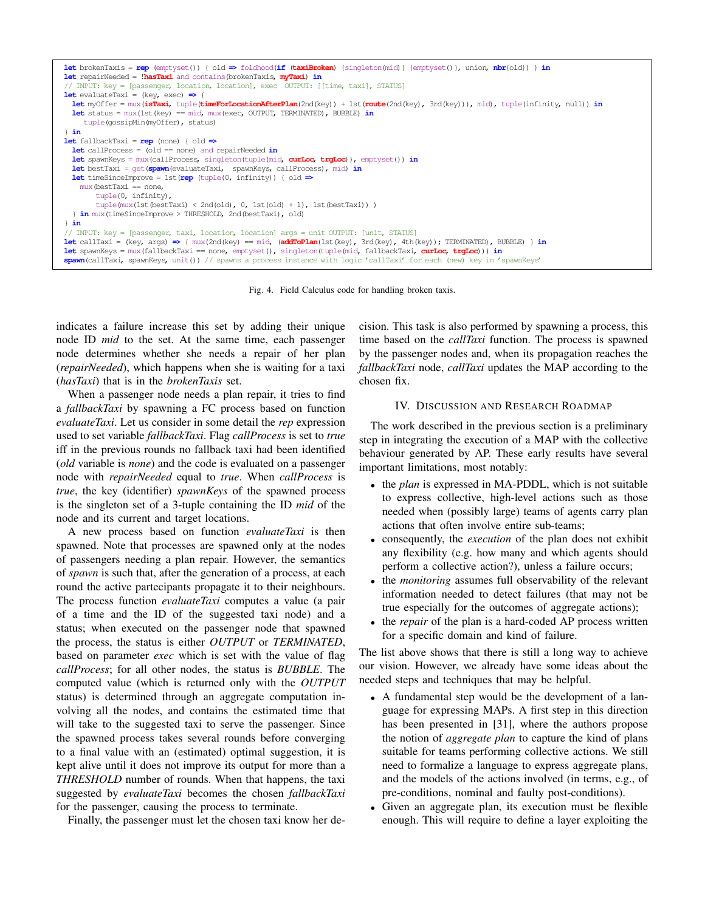| let brokenTaxis = rep (emptyset()) { old => foldhood(if (taxiBroken) {singleton(mid)} {emptyset()}, union, nbr{old}) } in<br><b>let</b> repairNeeded = <b>!hasTaxi</b> and contains (brokenTaxis, <b>myTaxi) in</b> |
|---------------------------------------------------------------------------------------------------------------------------------------------------------------------------------------------------------------------|
| // INPUT: key = [passenger, location, location], exec OUTPUT: [[time, taxi], STATUS]                                                                                                                                |
| <b>let</b> evaluateTaxi = (key, exec) $\Rightarrow$ {                                                                                                                                                               |
| let myOffer = mux(isTaxi, tuple(timeForLocationAfterPlan(2nd(key)) + 1st(route(2nd(key), 3rd(key))), mid), tuple(infinity, null)) in                                                                                |
| <b>let</b> status = $\text{mux}(\text{lst}(\text{key}) == \text{mid}, \text{mux}(\text{exec}, \text{OUTPUT}, \text{TERMINATED}), \text{SUBBLE})$ in<br>tuple(qossipMin(myOffer), status)                            |
| in                                                                                                                                                                                                                  |
| <b>let</b> fallbackTaxi = $rep$ (none) { old $\Rightarrow$                                                                                                                                                          |
| <b>let</b> callProcess = (old == none) and repairNeeded $in$                                                                                                                                                        |
| <b>let</b> spawnKeys = $\text{max}(\text{callProcess}, \text{singleton}(\text{tuple}(\text{mid}, \text{curLoc}, \text{trqLoc}))$ , $\text{emptyset}()$ in                                                           |
| <b>let</b> bestTaxi = $qet$ (spawn (evaluateTaxi, spawn Keys, call Process), mid) in                                                                                                                                |
| <b>let</b> timeSinceImprove = 1st (rep (tuple(0, infinity)) { $old \Rightarrow$                                                                                                                                     |
| $mux$ (bestTaxi == none,                                                                                                                                                                                            |
| tuple(0, infinity),                                                                                                                                                                                                 |
| tuple (mux (1st (bestTaxi) < 2nd (old), $0$ , 1st (old) + 1), 1st (bestTaxi)))                                                                                                                                      |
| 1 in mux(timeSinceImprove > THRESHOLD, 2nd(bestTaxi), old)                                                                                                                                                          |
| in                                                                                                                                                                                                                  |
| // INPUT: key = [passenger, taxi, location, location] args = unit OUTPUT: [unit, STATUS]                                                                                                                            |
| <b>let</b> callTaxi = (key, args) $\Rightarrow$ { mux(2nd(key) == mid, (addToPlan(1st(key), 3rd(key), 4th(key)); TERMINATED), BUBBLE) } in                                                                          |
| <b>let</b> spawnKeys = $\text{mux}(\text{fallbackTaxi}) = \text{none}$ , $\text{emptyset}(t)$ , $\text{singleton}(\text{tuple}(\text{mid}, \text{fallbackTaxi}, \text{curLoc}, \text{trqLoc}))$ ) in                |
| spawn(callTaxi, spawnKeys, unit()) // spawns a process instance with logic 'callTaxi' for each (new) key in 'spawnKeys'                                                                                             |

Fig. 4. Field Calculus code for handling broken taxis.

indicates a failure increase this set by adding their unique node ID *mid* to the set. At the same time, each passenger node determines whether she needs a repair of her plan (*repairNeeded*), which happens when she is waiting for a taxi (*hasTaxi*) that is in the *brokenTaxis* set.

When a passenger node needs a plan repair, it tries to find a *fallbackTaxi* by spawning a FC process based on function *evaluateTaxi*. Let us consider in some detail the *rep* expression used to set variable *fallbackTaxi*. Flag *callProcess* is set to *true* iff in the previous rounds no fallback taxi had been identified (*old* variable is *none*) and the code is evaluated on a passenger node with *repairNeeded* equal to *true*. When *callProcess* is *true*, the key (identifier) *spawnKeys* of the spawned process is the singleton set of a 3-tuple containing the ID *mid* of the node and its current and target locations.

A new process based on function *evaluateTaxi* is then spawned. Note that processes are spawned only at the nodes of passengers needing a plan repair. However, the semantics of *spawn* is such that, after the generation of a process, at each round the active partecipants propagate it to their neighbours. The process function *evaluateTaxi* computes a value (a pair of a time and the ID of the suggested taxi node) and a status; when executed on the passenger node that spawned the process, the status is either *OUTPUT* or *TERMINATED*, based on parameter *exec* which is set with the value of flag *callProcess*; for all other nodes, the status is *BUBBLE*. The computed value (which is returned only with the *OUTPUT* status) is determined through an aggregate computation involving all the nodes, and contains the estimated time that will take to the suggested taxi to serve the passenger. Since the spawned process takes several rounds before converging to a final value with an (estimated) optimal suggestion, it is kept alive until it does not improve its output for more than a *THRESHOLD* number of rounds. When that happens, the taxi suggested by *evaluateTaxi* becomes the chosen *fallbackTaxi* for the passenger, causing the process to terminate.

Finally, the passenger must let the chosen taxi know her de-

cision. This task is also performed by spawning a process, this time based on the *callTaxi* function. The process is spawned by the passenger nodes and, when its propagation reaches the *fallbackTaxi* node, *callTaxi* updates the MAP according to the chosen fix.

#### IV. DISCUSSION AND RESEARCH ROADMAP

The work described in the previous section is a preliminary step in integrating the execution of a MAP with the collective behaviour generated by AP. These early results have several important limitations, most notably:

- the *plan* is expressed in MA-PDDL, which is not suitable to express collective, high-level actions such as those needed when (possibly large) teams of agents carry plan actions that often involve entire sub-teams;
- consequently, the *execution* of the plan does not exhibit any flexibility (e.g. how many and which agents should perform a collective action?), unless a failure occurs;
- the *monitoring* assumes full observability of the relevant information needed to detect failures (that may not be true especially for the outcomes of aggregate actions);
- the *repair* of the plan is a hard-coded AP process written for a specific domain and kind of failure.

The list above shows that there is still a long way to achieve our vision. However, we already have some ideas about the needed steps and techniques that may be helpful.

- A fundamental step would be the development of a language for expressing MAPs. A first step in this direction has been presented in [31], where the authors propose the notion of *aggregate plan* to capture the kind of plans suitable for teams performing collective actions. We still need to formalize a language to express aggregate plans, and the models of the actions involved (in terms, e.g., of pre-conditions, nominal and faulty post-conditions).
- Given an aggregate plan, its execution must be flexible enough. This will require to define a layer exploiting the